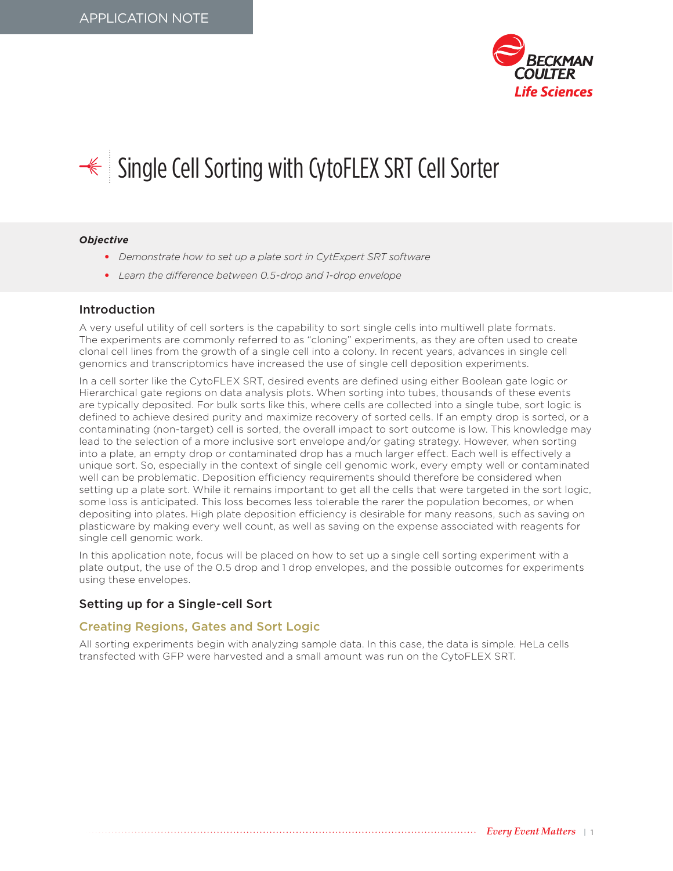

# <del></del> Single Cell Sorting with CytoFLEX SRT Cell Sorter

#### *Objective*

- *Demonstrate how to set up a plate sort in CytExpert SRT software*
- *Learn the difference between 0.5-drop and 1-drop envelope*

### Introduction

A very useful utility of cell sorters is the capability to sort single cells into multiwell plate formats. The experiments are commonly referred to as "cloning" experiments, as they are often used to create clonal cell lines from the growth of a single cell into a colony. In recent years, advances in single cell genomics and transcriptomics have increased the use of single cell deposition experiments.

In a cell sorter like the CytoFLEX SRT, desired events are defined using either Boolean gate logic or Hierarchical gate regions on data analysis plots. When sorting into tubes, thousands of these events are typically deposited. For bulk sorts like this, where cells are collected into a single tube, sort logic is defined to achieve desired purity and maximize recovery of sorted cells. If an empty drop is sorted, or a contaminating (non-target) cell is sorted, the overall impact to sort outcome is low. This knowledge may lead to the selection of a more inclusive sort envelope and/or gating strategy. However, when sorting into a plate, an empty drop or contaminated drop has a much larger effect. Each well is effectively a unique sort. So, especially in the context of single cell genomic work, every empty well or contaminated well can be problematic. Deposition efficiency requirements should therefore be considered when setting up a plate sort. While it remains important to get all the cells that were targeted in the sort logic, some loss is anticipated. This loss becomes less tolerable the rarer the population becomes, or when depositing into plates. High plate deposition efficiency is desirable for many reasons, such as saving on plasticware by making every well count, as well as saving on the expense associated with reagents for single cell genomic work.

In this application note, focus will be placed on how to set up a single cell sorting experiment with a plate output, the use of the 0.5 drop and 1 drop envelopes, and the possible outcomes for experiments using these envelopes.

### Setting up for a Single-cell Sort

### Creating Regions, Gates and Sort Logic

All sorting experiments begin with analyzing sample data. In this case, the data is simple. HeLa cells transfected with GFP were harvested and a small amount was run on the CytoFLEX SRT.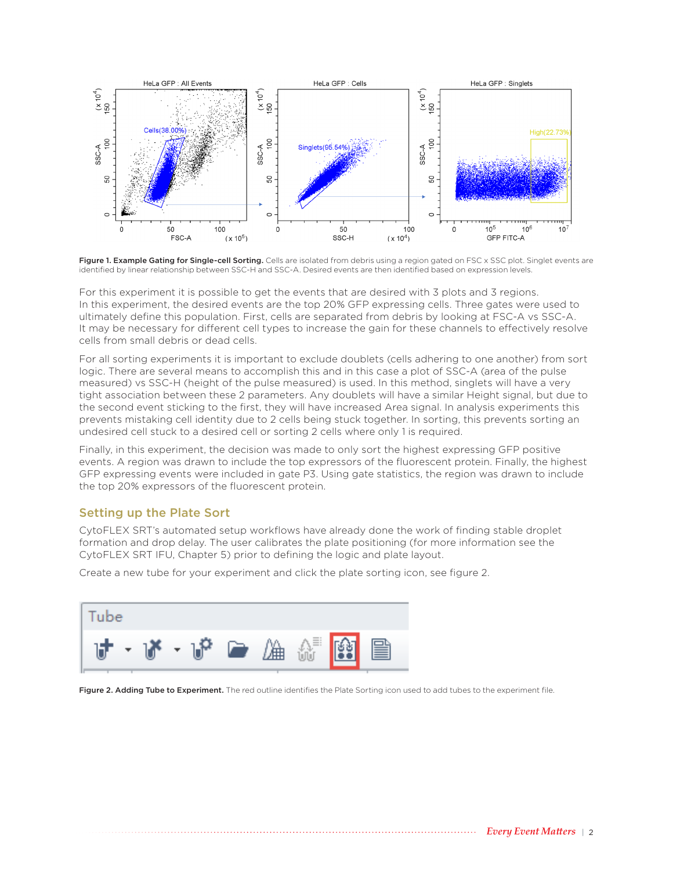

Figure 1. Example Gating for Single-cell Sorting. Cells are isolated from debris using a region gated on FSC x SSC plot. Singlet events are identified by linear relationship between SSC-H and SSC-A. Desired events are then identified based on expression levels.

For this experiment it is possible to get the events that are desired with 3 plots and 3 regions. In this experiment, the desired events are the top 20% GFP expressing cells. Three gates were used to ultimately define this population. First, cells are separated from debris by looking at FSC-A vs SSC-A. It may be necessary for different cell types to increase the gain for these channels to effectively resolve cells from small debris or dead cells.

For all sorting experiments it is important to exclude doublets (cells adhering to one another) from sort logic. There are several means to accomplish this and in this case a plot of SSC-A (area of the pulse measured) vs SSC-H (height of the pulse measured) is used. In this method, singlets will have a very tight association between these 2 parameters. Any doublets will have a similar Height signal, but due to the second event sticking to the first, they will have increased Area signal. In analysis experiments this prevents mistaking cell identity due to 2 cells being stuck together. In sorting, this prevents sorting an undesired cell stuck to a desired cell or sorting 2 cells where only 1 is required.

Finally, in this experiment, the decision was made to only sort the highest expressing GFP positive events. A region was drawn to include the top expressors of the fluorescent protein. Finally, the highest GFP expressing events were included in gate P3. Using gate statistics, the region was drawn to include the top 20% expressors of the fluorescent protein.

## Setting up the Plate Sort

CytoFLEX SRT's automated setup workflows have already done the work of finding stable droplet formation and drop delay. The user calibrates the plate positioning (for more information see the CytoFLEX SRT IFU, Chapter 5) prior to defining the logic and plate layout.

Create a new tube for your experiment and click the plate sorting icon, see figure 2.



Figure 2. Adding Tube to Experiment. The red outline identifies the Plate Sorting icon used to add tubes to the experiment file.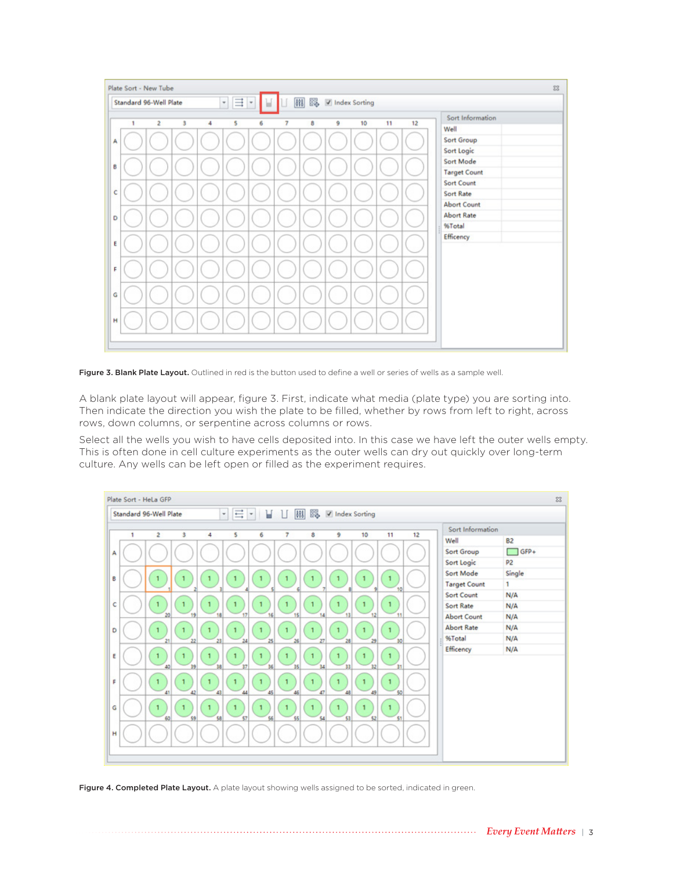

Figure 3. Blank Plate Layout. Outlined in red is the button used to define a well or series of wells as a sample well.

A blank plate layout will appear, figure 3. First, indicate what media (plate type) you are sorting into. Then indicate the direction you wish the plate to be filled, whether by rows from left to right, across rows, down columns, or serpentine across columns or rows.

Select all the wells you wish to have cells deposited into. In this case we have left the outer wells empty. This is often done in cell culture experiments as the outer wells can dry out quickly over long-term culture. Any wells can be left open or filled as the experiment requires.



Figure 4. Completed Plate Layout. A plate layout showing wells assigned to be sorted, indicated in green.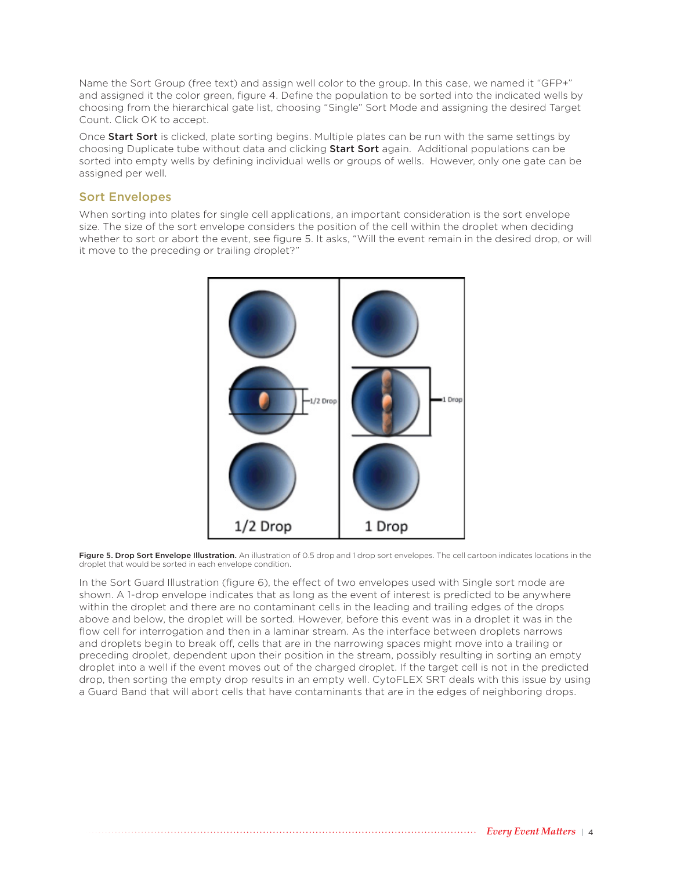Name the Sort Group (free text) and assign well color to the group. In this case, we named it "GFP+" and assigned it the color green, figure 4. Define the population to be sorted into the indicated wells by choosing from the hierarchical gate list, choosing "Single" Sort Mode and assigning the desired Target Count. Click OK to accept.

Once Start Sort is clicked, plate sorting begins. Multiple plates can be run with the same settings by choosing Duplicate tube without data and clicking Start Sort again. Additional populations can be sorted into empty wells by defining individual wells or groups of wells. However, only one gate can be assigned per well.

### Sort Envelopes

When sorting into plates for single cell applications, an important consideration is the sort envelope size. The size of the sort envelope considers the position of the cell within the droplet when deciding whether to sort or abort the event, see figure 5. It asks, "Will the event remain in the desired drop, or will it move to the preceding or trailing droplet?"



Figure 5. Drop Sort Envelope Illustration. An illustration of 0.5 drop and 1 drop sort envelopes. The cell cartoon indicates locations in the droplet that would be sorted in each envelope condition.

In the Sort Guard Illustration (figure 6), the effect of two envelopes used with Single sort mode are shown. A 1-drop envelope indicates that as long as the event of interest is predicted to be anywhere within the droplet and there are no contaminant cells in the leading and trailing edges of the drops above and below, the droplet will be sorted. However, before this event was in a droplet it was in the flow cell for interrogation and then in a laminar stream. As the interface between droplets narrows and droplets begin to break off, cells that are in the narrowing spaces might move into a trailing or preceding droplet, dependent upon their position in the stream, possibly resulting in sorting an empty droplet into a well if the event moves out of the charged droplet. If the target cell is not in the predicted drop, then sorting the empty drop results in an empty well. CytoFLEX SRT deals with this issue by using a Guard Band that will abort cells that have contaminants that are in the edges of neighboring drops.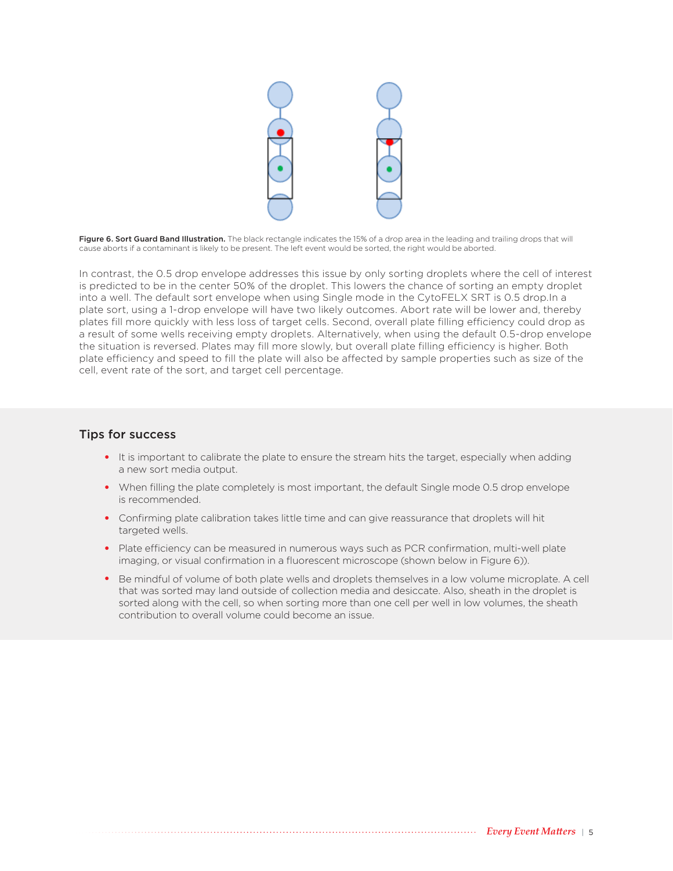

Figure 6. Sort Guard Band Illustration. The black rectangle indicates the 15% of a drop area in the leading and trailing drops that will cause aborts if a contaminant is likely to be present. The left event would be sorted, the right would be aborted.

In contrast, the 0.5 drop envelope addresses this issue by only sorting droplets where the cell of interest is predicted to be in the center 50% of the droplet. This lowers the chance of sorting an empty droplet into a well. The default sort envelope when using Single mode in the CytoFELX SRT is 0.5 drop.In a plate sort, using a 1-drop envelope will have two likely outcomes. Abort rate will be lower and, thereby plates fill more quickly with less loss of target cells. Second, overall plate filling efficiency could drop as a result of some wells receiving empty droplets. Alternatively, when using the default 0.5-drop envelope the situation is reversed. Plates may fill more slowly, but overall plate filling efficiency is higher. Both plate efficiency and speed to fill the plate will also be affected by sample properties such as size of the cell, event rate of the sort, and target cell percentage.

#### Tips for success

- It is important to calibrate the plate to ensure the stream hits the target, especially when adding a new sort media output.
- When filling the plate completely is most important, the default Single mode 0.5 drop envelope is recommended.
- Confirming plate calibration takes little time and can give reassurance that droplets will hit targeted wells.
- Plate efficiency can be measured in numerous ways such as PCR confirmation, multi-well plate imaging, or visual confirmation in a fluorescent microscope (shown below in Figure 6)).
- Be mindful of volume of both plate wells and droplets themselves in a low volume microplate. A cell that was sorted may land outside of collection media and desiccate. Also, sheath in the droplet is sorted along with the cell, so when sorting more than one cell per well in low volumes, the sheath contribution to overall volume could become an issue.